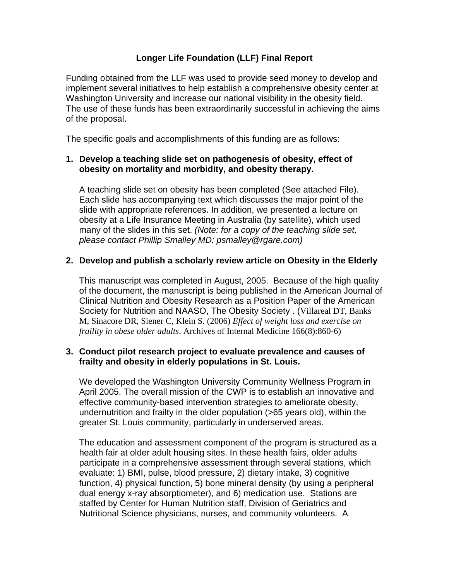# **Longer Life Foundation (LLF) Final Report**

Funding obtained from the LLF was used to provide seed money to develop and implement several initiatives to help establish a comprehensive obesity center at Washington University and increase our national visibility in the obesity field. The use of these funds has been extraordinarily successful in achieving the aims of the proposal.

The specific goals and accomplishments of this funding are as follows:

## **1. Develop a teaching slide set on pathogenesis of obesity, effect of obesity on mortality and morbidity, and obesity therapy.**

 A teaching slide set on obesity has been completed (See attached File). Each slide has accompanying text which discusses the major point of the slide with appropriate references. In addition, we presented a lecture on obesity at a Life Insurance Meeting in Australia (by satellite), which used many of the slides in this set. *(Note: for a copy of the teaching slide set, please contact Phillip Smalley MD: psmalley@rgare.com)*

### **2. Develop and publish a scholarly review article on Obesity in the Elderly**

 This manuscript was completed in August, 2005. Because of the high quality of the document, the manuscript is being published in the American Journal of Clinical Nutrition and Obesity Research as a Position Paper of the American Society for Nutrition and NAASO, The Obesity Society . (Villareal DT, Banks M, Sinacore DR, Siener C, Klein S. (2006) *Effect of weight loss and exercise on fraility in obese older adults*. Archives of Internal Medicine 166(8):860-6)

### **3. Conduct pilot research project to evaluate prevalence and causes of frailty and obesity in elderly populations in St. Louis.**

 We developed the Washington University Community Wellness Program in April 2005. The overall mission of the CWP is to establish an innovative and effective community-based intervention strategies to ameliorate obesity, undernutrition and frailty in the older population (>65 years old), within the greater St. Louis community, particularly in underserved areas.

 The education and assessment component of the program is structured as a health fair at older adult housing sites. In these health fairs, older adults participate in a comprehensive assessment through several stations, which evaluate: 1) BMI, pulse, blood pressure, 2) dietary intake, 3) cognitive function, 4) physical function, 5) bone mineral density (by using a peripheral dual energy x-ray absorptiometer), and 6) medication use. Stations are staffed by Center for Human Nutrition staff, Division of Geriatrics and Nutritional Science physicians, nurses, and community volunteers. A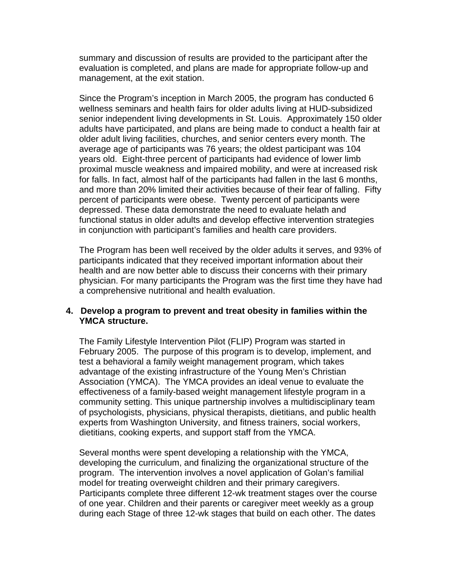summary and discussion of results are provided to the participant after the evaluation is completed, and plans are made for appropriate follow-up and management, at the exit station.

 Since the Program's inception in March 2005, the program has conducted 6 wellness seminars and health fairs for older adults living at HUD-subsidized senior independent living developments in St. Louis. Approximately 150 older adults have participated, and plans are being made to conduct a health fair at older adult living facilities, churches, and senior centers every month. The average age of participants was 76 years; the oldest participant was 104 years old. Eight-three percent of participants had evidence of lower limb proximal muscle weakness and impaired mobility, and were at increased risk for falls. In fact, almost half of the participants had fallen in the last 6 months, and more than 20% limited their activities because of their fear of falling. Fifty percent of participants were obese. Twenty percent of participants were depressed. These data demonstrate the need to evaluate helath and functional status in older adults and develop effective intervention strategies in conjunction with participant's families and health care providers.

 The Program has been well received by the older adults it serves, and 93% of participants indicated that they received important information about their health and are now better able to discuss their concerns with their primary physician. For many participants the Program was the first time they have had a comprehensive nutritional and health evaluation.

### **4. Develop a program to prevent and treat obesity in families within the YMCA structure.**

 The Family Lifestyle Intervention Pilot (FLIP) Program was started in February 2005. The purpose of this program is to develop, implement, and test a behavioral a family weight management program, which takes advantage of the existing infrastructure of the Young Men's Christian Association (YMCA). The YMCA provides an ideal venue to evaluate the effectiveness of a family-based weight management lifestyle program in a community setting. This unique partnership involves a multidisciplinary team of psychologists, physicians, physical therapists, dietitians, and public health experts from Washington University, and fitness trainers, social workers, dietitians, cooking experts, and support staff from the YMCA.

 Several months were spent developing a relationship with the YMCA, developing the curriculum, and finalizing the organizational structure of the program. The intervention involves a novel application of Golan's familial model for treating overweight children and their primary caregivers. Participants complete three different 12-wk treatment stages over the course of one year. Children and their parents or caregiver meet weekly as a group during each Stage of three 12-wk stages that build on each other. The dates